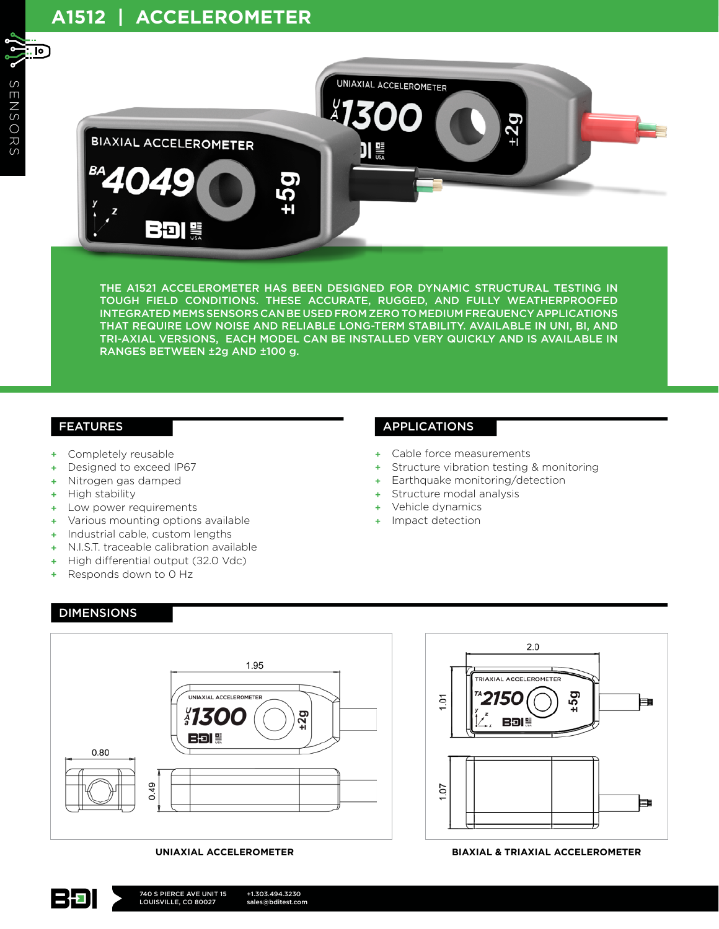

THE A1521 ACCELEROMETER HAS BEEN DESIGNED FOR DYNAMIC STRUCTURAL TESTING IN TOUGH FIELD CONDITIONS. THESE ACCURATE, RUGGED, AND FULLY WEATHERPROOFED INTEGRATED MEMS SENSORS CAN BE USED FROM ZERO TO MEDIUM FREQUENCY APPLICATIONS THAT REQUIRE LOW NOISE AND RELIABLE LONG-TERM STABILITY. AVAILABLE IN UNI, BI, AND TRI-AXIAL VERSIONS, EACH MODEL CAN BE INSTALLED VERY QUICKLY AND IS AVAILABLE IN RANGES BETWEEN ±2g AND ±100 g.

#### FEATURES

- + Completely reusable
- Designed to exceed IP67
- + Nitrogen gas damped
- + High stability

DIMENSIONS

12 E D

- + Low power requirements
- + Various mounting options available
- + Industrial cable, custom lengths
- N.I.S.T. traceable calibration available
- + High differential output (32.0 Vdc)
- + Responds down to 0 Hz

## APPLICATIONS

- + Cable force measurements
- + Structure vibration testing & monitoring
- + Earthquake monitoring/detection
- Structure modal analysis
- + Vehicle dynamics
- + Impact detection



 $2.0$ **TRIAXIAL ACCELEROMETER**  $56<sub>1</sub>$  $101$ 150 F. **BDI #** 1.07 Þ

#### **UNIAXIAL ACCELEROMETER BIAXIAL & TRIAXIAL ACCELEROMETER**